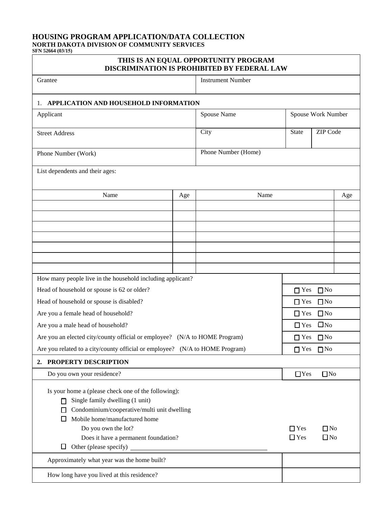## **HOUSING PROGRAM APPLICATION/DATA COLLECTION NORTH DAKOTA DIVISION OF COMMUNITY SERVICES**

**SFN 52664 (03/15)** 

# **THIS IS AN EQUAL OPPORTUNITY PROGRAM DISCRIMINATION IS PROHIBITED BY FEDERAL LAW**

| DISCRIMINATION IS I ROHIDITED BT FEDERAL LAW                                                                                                                                                                                                                               |                          |                            |                         |           |  |  |  |  |  |
|----------------------------------------------------------------------------------------------------------------------------------------------------------------------------------------------------------------------------------------------------------------------------|--------------------------|----------------------------|-------------------------|-----------|--|--|--|--|--|
| Grantee                                                                                                                                                                                                                                                                    | <b>Instrument Number</b> |                            |                         |           |  |  |  |  |  |
| APPLICATION AND HOUSEHOLD INFORMATION<br>1.                                                                                                                                                                                                                                |                          |                            |                         |           |  |  |  |  |  |
| Applicant                                                                                                                                                                                                                                                                  | Spouse Name              | Spouse Work Number         |                         |           |  |  |  |  |  |
| <b>Street Address</b>                                                                                                                                                                                                                                                      | City                     | ZIP Code<br>State          |                         |           |  |  |  |  |  |
| Phone Number (Work)                                                                                                                                                                                                                                                        | Phone Number (Home)      |                            |                         |           |  |  |  |  |  |
| List dependents and their ages:                                                                                                                                                                                                                                            |                          |                            |                         |           |  |  |  |  |  |
| Name                                                                                                                                                                                                                                                                       | Name                     |                            |                         |           |  |  |  |  |  |
|                                                                                                                                                                                                                                                                            |                          |                            |                         |           |  |  |  |  |  |
|                                                                                                                                                                                                                                                                            |                          |                            |                         |           |  |  |  |  |  |
|                                                                                                                                                                                                                                                                            |                          |                            |                         |           |  |  |  |  |  |
|                                                                                                                                                                                                                                                                            |                          |                            |                         |           |  |  |  |  |  |
|                                                                                                                                                                                                                                                                            |                          |                            |                         |           |  |  |  |  |  |
|                                                                                                                                                                                                                                                                            |                          |                            |                         |           |  |  |  |  |  |
| How many people live in the household including applicant?                                                                                                                                                                                                                 |                          |                            |                         |           |  |  |  |  |  |
| Head of household or spouse is 62 or older?                                                                                                                                                                                                                                |                          |                            | $\Box$ Yes              | $\Box$ No |  |  |  |  |  |
| Head of household or spouse is disabled?                                                                                                                                                                                                                                   |                          | $\Box$ No<br>$\Box$ Yes    |                         |           |  |  |  |  |  |
| Are you a female head of household?                                                                                                                                                                                                                                        |                          |                            | $\Box$ No<br>$\Box$ Yes |           |  |  |  |  |  |
| Are you a male head of household?                                                                                                                                                                                                                                          |                          | $\square$ No<br>$\Box$ Yes |                         |           |  |  |  |  |  |
| Are you an elected city/county official or employee? (N/A to HOME Program)                                                                                                                                                                                                 |                          | $\Box$ No<br>$\Box$ Yes    |                         |           |  |  |  |  |  |
| Are you related to a city/county official or employee? (N/A to HOME Program)                                                                                                                                                                                               |                          | $\Box$ No<br>$\Box$ Yes    |                         |           |  |  |  |  |  |
| PROPERTY DESCRIPTION<br>2.                                                                                                                                                                                                                                                 |                          |                            |                         |           |  |  |  |  |  |
| Do you own your residence?                                                                                                                                                                                                                                                 | $\Box$ Yes<br>$\Box$ No  |                            |                         |           |  |  |  |  |  |
| Is your home a (please check one of the following):<br>Single family dwelling (1 unit)<br>Condominium/cooperative/multi unit dwelling<br>ΙI<br>Mobile home/manufactured home<br>Do you own the lot?<br>Does it have a permanent foundation?<br>Other (please specify)<br>⊔ | $\Box$ Yes<br>$\Box$ Yes | $\Box$ No<br>$\Box$ No     |                         |           |  |  |  |  |  |
| Approximately what year was the home built?                                                                                                                                                                                                                                |                          |                            |                         |           |  |  |  |  |  |
| How long have you lived at this residence?                                                                                                                                                                                                                                 |                          |                            |                         |           |  |  |  |  |  |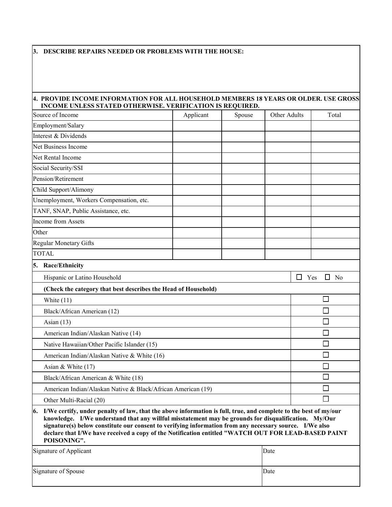#### **3. DESCRIBE REPAIRS NEEDED OR PROBLEMS WITH THE HOUSE:**

## **4. PROVIDE INCOME INFORMATION FOR ALL HOUSEHOLD MEMBERS 18 YEARS OR OLDER. USE GROSS INCOME UNLESS STATED OTHERWISE. VERIFICATION IS REQUIRED.**

| Source of Income                                                                                                                                                                                                                                                                                                                                                                                                                                             | Applicant               | Spouse | Other Adults |  | Total |  |  |
|--------------------------------------------------------------------------------------------------------------------------------------------------------------------------------------------------------------------------------------------------------------------------------------------------------------------------------------------------------------------------------------------------------------------------------------------------------------|-------------------------|--------|--------------|--|-------|--|--|
| Employment/Salary                                                                                                                                                                                                                                                                                                                                                                                                                                            |                         |        |              |  |       |  |  |
| Interest & Dividends                                                                                                                                                                                                                                                                                                                                                                                                                                         |                         |        |              |  |       |  |  |
| Net Business Income                                                                                                                                                                                                                                                                                                                                                                                                                                          |                         |        |              |  |       |  |  |
| Net Rental Income                                                                                                                                                                                                                                                                                                                                                                                                                                            |                         |        |              |  |       |  |  |
| Social Security/SSI                                                                                                                                                                                                                                                                                                                                                                                                                                          |                         |        |              |  |       |  |  |
| Pension/Retirement                                                                                                                                                                                                                                                                                                                                                                                                                                           |                         |        |              |  |       |  |  |
| Child Support/Alimony                                                                                                                                                                                                                                                                                                                                                                                                                                        |                         |        |              |  |       |  |  |
| Unemployment, Workers Compensation, etc.                                                                                                                                                                                                                                                                                                                                                                                                                     |                         |        |              |  |       |  |  |
| TANF, SNAP, Public Assistance, etc.                                                                                                                                                                                                                                                                                                                                                                                                                          |                         |        |              |  |       |  |  |
| Income from Assets                                                                                                                                                                                                                                                                                                                                                                                                                                           |                         |        |              |  |       |  |  |
| Other                                                                                                                                                                                                                                                                                                                                                                                                                                                        |                         |        |              |  |       |  |  |
| Regular Monetary Gifts                                                                                                                                                                                                                                                                                                                                                                                                                                       |                         |        |              |  |       |  |  |
| <b>TOTAL</b>                                                                                                                                                                                                                                                                                                                                                                                                                                                 |                         |        |              |  |       |  |  |
| 5.<br><b>Race/Ethnicity</b>                                                                                                                                                                                                                                                                                                                                                                                                                                  |                         |        |              |  |       |  |  |
| Hispanic or Latino Household                                                                                                                                                                                                                                                                                                                                                                                                                                 | $\Box$ Yes<br>$\Box$ No |        |              |  |       |  |  |
| (Check the category that best describes the Head of Household)                                                                                                                                                                                                                                                                                                                                                                                               |                         |        |              |  |       |  |  |
| White $(11)$                                                                                                                                                                                                                                                                                                                                                                                                                                                 | $\Box$                  |        |              |  |       |  |  |
| Black/African American (12)                                                                                                                                                                                                                                                                                                                                                                                                                                  |                         |        |              |  |       |  |  |
| Asian $(13)$                                                                                                                                                                                                                                                                                                                                                                                                                                                 | Г                       |        |              |  |       |  |  |
| American Indian/Alaskan Native (14)                                                                                                                                                                                                                                                                                                                                                                                                                          | Г                       |        |              |  |       |  |  |
| Native Hawaiian/Other Pacific Islander (15)                                                                                                                                                                                                                                                                                                                                                                                                                  | П                       |        |              |  |       |  |  |
| American Indian/Alaskan Native & White (16)                                                                                                                                                                                                                                                                                                                                                                                                                  |                         |        |              |  |       |  |  |
| Asian & White (17)                                                                                                                                                                                                                                                                                                                                                                                                                                           | П                       |        |              |  |       |  |  |
| Black/African American & White (18)                                                                                                                                                                                                                                                                                                                                                                                                                          | $\Box$                  |        |              |  |       |  |  |
| American Indian/Alaskan Native & Black/African American (19)                                                                                                                                                                                                                                                                                                                                                                                                 |                         |        |              |  |       |  |  |
| Other Multi-Racial (20)                                                                                                                                                                                                                                                                                                                                                                                                                                      |                         |        |              |  |       |  |  |
| 6. I/We certify, under penalty of law, that the above information is full, true, and complete to the best of my/our<br>knowledge. I/We understand that any willful misstatement may be grounds for disqualification. My/Our<br>signature(s) below constitute our consent to verifying information from any necessary source. I/We also<br>declare that I/We have received a copy of the Notification entitled "WATCH OUT FOR LEAD-BASED PAINT<br>POISONING". |                         |        |              |  |       |  |  |
| Signature of Applicant                                                                                                                                                                                                                                                                                                                                                                                                                                       |                         |        |              |  |       |  |  |
| Signature of Spouse                                                                                                                                                                                                                                                                                                                                                                                                                                          |                         |        |              |  |       |  |  |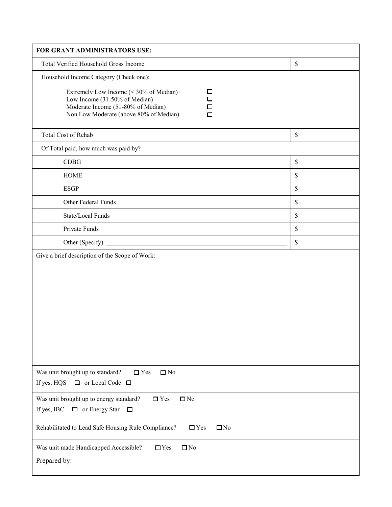| FOR GRANT ADMINISTRATORS USE:                                                                                                                                                                                              |             |
|----------------------------------------------------------------------------------------------------------------------------------------------------------------------------------------------------------------------------|-------------|
| Total Verified Household Gross Income                                                                                                                                                                                      | $\mathbb S$ |
| Household Income Category (Check one):<br>Extremely Low Income (< 30% of Median)<br>□<br>$\Box$<br>Low Income (31-50% of Median)<br>Moderate Income (51-80% of Median)<br>□<br>Non Low Moderate (above 80% of Median)<br>□ |             |
| Total Cost of Rehab                                                                                                                                                                                                        | $\mathbb S$ |
| Of Total paid, how much was paid by?                                                                                                                                                                                       |             |
| CDBG                                                                                                                                                                                                                       | $\mathbb S$ |
| <b>HOME</b>                                                                                                                                                                                                                | $\mathbb S$ |
| <b>ESGP</b>                                                                                                                                                                                                                | $\mathbb S$ |
| Other Federal Funds                                                                                                                                                                                                        | $\mathbb S$ |
| State/Local Funds                                                                                                                                                                                                          | $\mathbb S$ |
| Private Funds                                                                                                                                                                                                              | $\mathbb S$ |
|                                                                                                                                                                                                                            | $\mathbb S$ |
| Give a brief description of the Scope of Work:                                                                                                                                                                             |             |
| Was unit brought up to standard?<br>$\Box$ Yes<br>$\square$ No<br>If yes, HQS<br>$\Box$ or Local Code $\Box$                                                                                                               |             |
| Was unit brought up to energy standard?<br>$\Box$ Yes<br>$\Box$ No<br>If yes, IBC<br>$\Box$ or Energy Star<br>$\Box$                                                                                                       |             |
| Rehabilitated to Lead Safe Housing Rule Compliance?<br>$\Box$ Yes<br>$\square$ No                                                                                                                                          |             |
| $\square$ No<br>Was unit made Handicapped Accessible?<br>$\Box$ Yes<br>Prepared by:                                                                                                                                        |             |
|                                                                                                                                                                                                                            |             |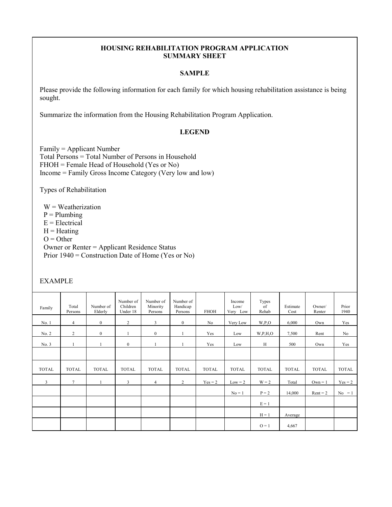## **HOUSING REHABILITATION PROGRAM APPLICATION SUMMARY SHEET**

## **SAMPLE**

Please provide the following information for each family for which housing rehabilitation assistance is being sought.

Summarize the information from the Housing Rehabilitation Program Application.

## **LEGEND**

Family = Applicant Number Total Persons = Total Number of Persons in Household FHOH = Female Head of Household (Yes or No) Income = Family Gross Income Category (Very low and low)

Types of Rehabilitation

 $W = Weatherization$  $P =$ Plumbing  $E = Electrical$  $H =$ Heating  $O =$  Other Owner or Renter = Applicant Residence Status Prior 1940 = Construction Date of Home (Yes or No)

## EXAMPLE

| Family       | Total<br>Persons | Number of<br>Elderly | Number of<br>Children<br>Under 18 | Number of<br>Minority<br>Persons | Number of<br>Handicap<br>Persons | <b>FHOH</b>  | Income<br>Low/<br>Very Low | Types<br>of<br>Rehab | Estimate<br>Cost | Owner/<br>Renter | Prior<br>1940  |
|--------------|------------------|----------------------|-----------------------------------|----------------------------------|----------------------------------|--------------|----------------------------|----------------------|------------------|------------------|----------------|
| No. 1        | $\overline{4}$   | $\mathbf{0}$         | $\overline{c}$                    | $\mathbf{3}$                     | $\mathbf{0}$                     | No           | Very Low                   | W, P, O              | 6,000            | Own              | Yes            |
| No. 2        | 2                | $\mathbf{0}$         |                                   | $\mathbf{0}$                     |                                  | Yes          | Low                        | W, P, H, O           | 7,500            | Rent             | N <sub>o</sub> |
| No. 3        | $\mathbf{1}$     |                      | $\mathbf{0}$                      |                                  |                                  | Yes          | Low                        | H                    | 500              | Own              | Yes            |
|              |                  |                      |                                   |                                  |                                  |              |                            |                      |                  |                  |                |
| <b>TOTAL</b> | <b>TOTAL</b>     | <b>TOTAL</b>         | <b>TOTAL</b>                      | <b>TOTAL</b>                     | <b>TOTAL</b>                     | <b>TOTAL</b> | <b>TOTAL</b>               | <b>TOTAL</b>         | <b>TOTAL</b>     | <b>TOTAL</b>     | <b>TOTAL</b>   |
| 3            |                  |                      |                                   |                                  |                                  |              |                            |                      |                  |                  |                |
|              | $\tau$           |                      | 3                                 | $\overline{4}$                   | $\overline{c}$                   | $Yes = 2$    | $Low = 2$                  | $W = 2$              | Total            | $Own = 1$        | $Yes = 2$      |
|              |                  |                      |                                   |                                  |                                  |              | $No = 1$                   | $P = 2$              | 14,000           | $Rent = 2$       | $No = 1$       |
|              |                  |                      |                                   |                                  |                                  |              |                            | $E = 1$              |                  |                  |                |
|              |                  |                      |                                   |                                  |                                  |              |                            | $H = 1$              | Average          |                  |                |